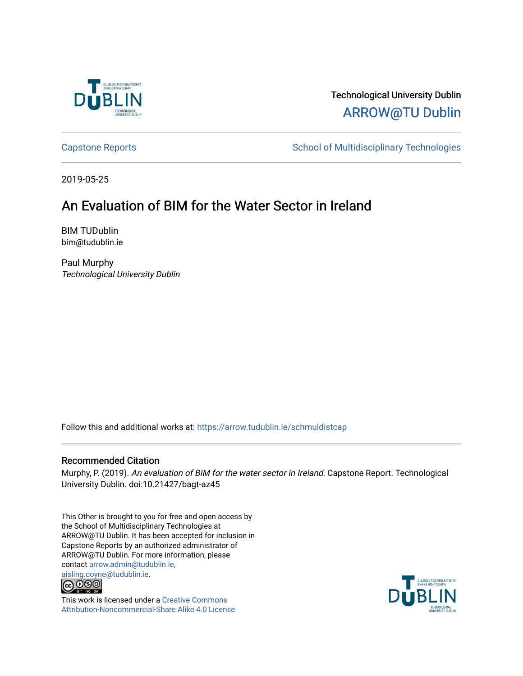

# Technological University Dublin [ARROW@TU Dublin](https://arrow.tudublin.ie/)

[Capstone Reports](https://arrow.tudublin.ie/schmuldistcap) **School of Multidisciplinary Technologies** School of Multidisciplinary Technologies

2019-05-25

# An Evaluation of BIM for the Water Sector in Ireland

BIM TUDublin bim@tudublin.ie

Paul Murphy Technological University Dublin

Follow this and additional works at: [https://arrow.tudublin.ie/schmuldistcap](https://arrow.tudublin.ie/schmuldistcap?utm_source=arrow.tudublin.ie%2Fschmuldistcap%2F15&utm_medium=PDF&utm_campaign=PDFCoverPages)

## Recommended Citation

Murphy, P. (2019). An evaluation of BIM for the water sector in Ireland. Capstone Report. Technological University Dublin. doi:10.21427/bagt-az45

This Other is brought to you for free and open access by the School of Multidisciplinary Technologies at ARROW@TU Dublin. It has been accepted for inclusion in Capstone Reports by an authorized administrator of ARROW@TU Dublin. For more information, please contact [arrow.admin@tudublin.ie,](mailto:arrow.admin@tudublin.ie,%20aisling.coyne@tudublin.ie)  [aisling.coyne@tudublin.ie.](mailto:arrow.admin@tudublin.ie,%20aisling.coyne@tudublin.ie)<br>© 090



This work is licensed under a [Creative Commons](http://creativecommons.org/licenses/by-nc-sa/4.0/) [Attribution-Noncommercial-Share Alike 4.0 License](http://creativecommons.org/licenses/by-nc-sa/4.0/)

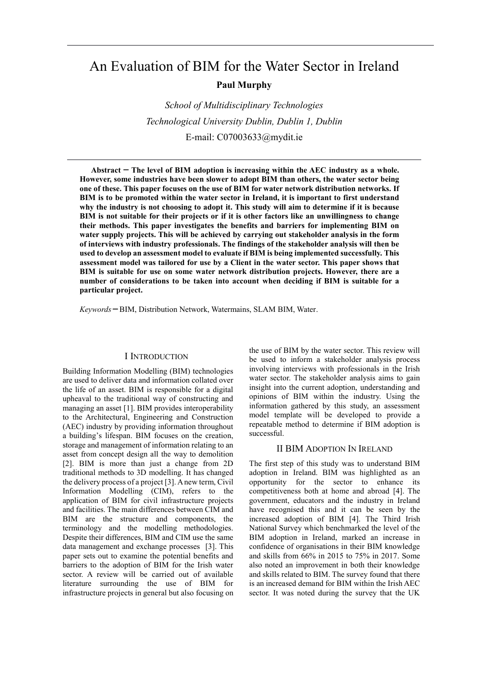# An Evaluation of BIM for the Water Sector in Ireland **Paul Murphy**

*School of Multidisciplinary Technologies Technological University Dublin, Dublin 1, Dublin* E-mail: C07003633@mydit.ie

**Abstract ̶ The level of BIM adoption is increasing within the AEC industry as a whole. However, some industries have been slower to adopt BIM than others, the water sector being one of these. This paper focuses on the use of BIM for water network distribution networks. If BIM is to be promoted within the water sector in Ireland, it is important to first understand why the industry is not choosing to adopt it. This study will aim to determine if it is because BIM is not suitable for their projects or if it is other factors like an unwillingness to change their methods. This paper investigates the benefits and barriers for implementing BIM on water supply projects. This will be achieved by carrying out stakeholder analysis in the form of interviews with industry professionals. The findings of the stakeholder analysis will then be used to develop an assessment model to evaluate if BIM is being implemented successfully. This assessment model was tailored for use by a Client in the water sector. This paper shows that BIM is suitable for use on some water network distribution projects. However, there are a number of considerations to be taken into account when deciding if BIM is suitable for a particular project.** 

*Keywords* **̶**BIM, Distribution Network, Watermains, SLAM BIM, Water.

#### I INTRODUCTION

Building Information Modelling (BIM) technologies are used to deliver data and information collated over the life of an asset. BIM is responsible for a digital upheaval to the traditional way of constructing and managing an asset [1]. BIM provides interoperability to the Architectural, Engineering and Construction (AEC) industry by providing information throughout a building's lifespan. BIM focuses on the creation, storage and management of information relating to an asset from concept design all the way to demolition [2]. BIM is more than just a change from 2D traditional methods to 3D modelling. It has changed the delivery process of a project [3]. A new term, Civil Information Modelling (CIM), refers to the application of BIM for civil infrastructure projects and facilities. The main differences between CIM and BIM are the structure and components, the terminology and the modelling methodologies. Despite their differences, BIM and CIM use the same data management and exchange processes [3]. This paper sets out to examine the potential benefits and barriers to the adoption of BIM for the Irish water sector. A review will be carried out of available literature surrounding the use of BIM for infrastructure projects in general but also focusing on the use of BIM by the water sector. This review will be used to inform a stakeholder analysis process involving interviews with professionals in the Irish water sector. The stakeholder analysis aims to gain insight into the current adoption, understanding and opinions of BIM within the industry. Using the information gathered by this study, an assessment model template will be developed to provide a repeatable method to determine if BIM adoption is successful.

#### II BIM ADOPTION IN IRELAND

The first step of this study was to understand BIM adoption in Ireland. BIM was highlighted as an opportunity for the sector to enhance its competitiveness both at home and abroad [4]. The government, educators and the industry in Ireland have recognised this and it can be seen by the increased adoption of BIM [4]. The Third Irish National Survey which benchmarked the level of the BIM adoption in Ireland, marked an increase in confidence of organisations in their BIM knowledge and skills from 66% in 2015 to 75% in 2017. Some also noted an improvement in both their knowledge and skills related to BIM. The survey found that there is an increased demand for BIM within the Irish AEC sector. It was noted during the survey that the UK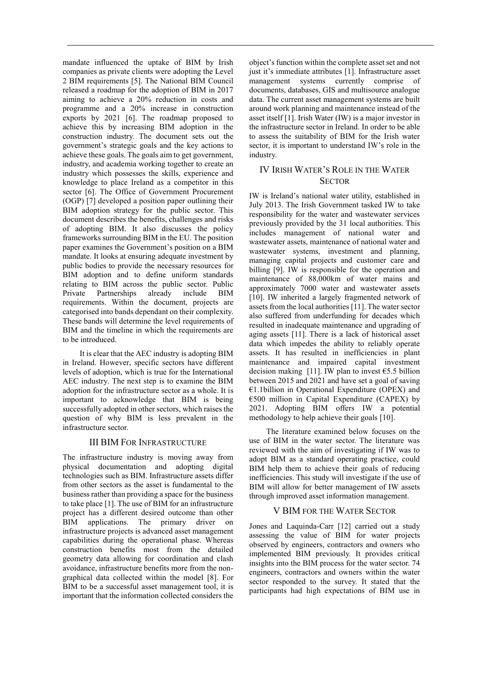mandate influenced the uptake of BIM by Irish companies as private clients were adopting the Level 2 BIM requirements [5]. The National BIM Council released a roadmap for the adoption of BIM in 2017 aiming to achieve a 20% reduction in costs and programme and a 20% increase in construction exports by 2021 [6]. The roadmap proposed to achieve this by increasing BIM adoption in the construction industry. The document sets out the government's strategic goals and the key actions to achieve these goals. The goals aim to get government, industry, and academia working together to create an industry which possesses the skills, experience and knowledge to place Ireland as a competitor in this sector [6]. The Office of Government Procurement (OGP) [7] developed a position paper outlining their BIM adoption strategy for the public sector. This document describes the benefits, challenges and risks of adopting BIM. It also discusses the policy frameworks surrounding BIM in the EU. The position paper examines the Government's position on a BIM mandate. It looks at ensuring adequate investment by public bodies to provide the necessary resources for BIM adoption and to define uniform standards relating to BIM across the public sector. Public Private Partnerships already include BIM requirements. Within the document, projects are categorised into bands dependant on their complexity. These bands will determine the level requirements of BIM and the timeline in which the requirements are to be introduced.

It is clear that the AEC industry is adopting BIM in Ireland. However, specific sectors have different levels of adoption, which is true for the International AEC industry. The next step is to examine the BIM adoption for the infrastructure sector as a whole. It is important to acknowledge that BIM is being successfully adopted in other sectors, which raises the question of why BIM is less prevalent in the infrastructure sector.

## III BIM FOR INFRASTRUCTURE

The infrastructure industry is moving away from physical documentation and adopting digital technologies such as BIM. Infrastructure assets differ from other sectors as the asset is fundamental to the business rather than providing a space for the business to take place [1]. The use of BIM for an infrastructure project has a different desired outcome than other BIM applications. The primary driver on infrastructure projects is advanced asset management capabilities during the operational phase. Whereas construction benefits most from the detailed geometry data allowing for coordination and clash avoidance, infrastructure benefits more from the nongraphical data collected within the model [8]. For BIM to be a successful asset management tool, it is important that the information collected considers the

object's function within the complete asset set and not just it's immediate attributes [1]. Infrastructure asset management systems currently comprise of documents, databases, GIS and multisource analogue data. The current asset management systems are built around work planning and maintenance instead of the asset itself [1]. Irish Water (IW) is a major investor in the infrastructure sector in Ireland. In order to be able to assess the suitability of BIM for the Irish water sector, it is important to understand IW's role in the industry.

## IV IRISH WATER'S ROLE IN THE WATER **SECTOR**

IW is Ireland's national water utility, established in July 2013. The Irish Government tasked IW to take responsibility for the water and wastewater services previously provided by the 31 local authorities. This includes management of national water and wastewater assets, maintenance of national water and wastewater systems, investment and planning, managing capital projects and customer care and billing [9]. IW is responsible for the operation and maintenance of 88,000km of water mains and approximately 7000 water and wastewater assets [10]. IW inherited a largely fragmented network of assets from the local authorities [11]. The water sector also suffered from underfunding for decades which resulted in inadequate maintenance and upgrading of aging assets [11]. There is a lack of historical asset data which impedes the ability to reliably operate assets. It has resulted in inefficiencies in plant maintenance and impaired capital investment decision making [11]. IW plan to invest  $\epsilon$ 5.5 billion between 2015 and 2021 and have set a goal of saving €1.1billion in Operational Expenditure (OPEX) and €500 million in Capital Expenditure (CAPEX) by 2021. Adopting BIM offers IW a potential methodology to help achieve their goals [10].

The literature examined below focuses on the use of BIM in the water sector. The literature was reviewed with the aim of investigating if IW was to adopt BIM as a standard operating practice, could BIM help them to achieve their goals of reducing inefficiencies. This study will investigate if the use of BIM will allow for better management of IW assets through improved asset information management.

## V BIM FOR THE WATER SECTOR

Jones and Laquinda-Carr [12] carried out a study assessing the value of BIM for water projects observed by engineers, contractors and owners who implemented BIM previously. It provides critical insights into the BIM process for the water sector. 74 engineers, contractors and owners within the water sector responded to the survey. It stated that the participants had high expectations of BIM use in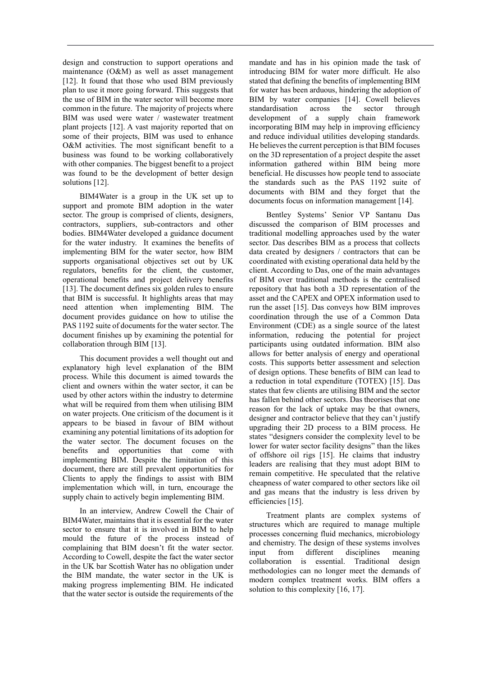design and construction to support operations and maintenance (O&M) as well as asset management [12]. It found that those who used BIM previously plan to use it more going forward. This suggests that the use of BIM in the water sector will become more common in the future. The majority of projects where BIM was used were water / wastewater treatment plant projects [12]. A vast majority reported that on some of their projects, BIM was used to enhance O&M activities. The most significant benefit to a business was found to be working collaboratively with other companies. The biggest benefit to a project was found to be the development of better design solutions [12].

BIM4Water is a group in the UK set up to support and promote BIM adoption in the water sector. The group is comprised of clients, designers, contractors, suppliers, sub-contractors and other bodies. BIM4Water developed a guidance document for the water industry. It examines the benefits of implementing BIM for the water sector, how BIM supports organisational objectives set out by UK regulators, benefits for the client, the customer, operational benefits and project delivery benefits [13]. The document defines six golden rules to ensure that BIM is successful. It highlights areas that may need attention when implementing BIM. The document provides guidance on how to utilise the PAS 1192 suite of documents for the water sector. The document finishes up by examining the potential for collaboration through BIM [13].

This document provides a well thought out and explanatory high level explanation of the BIM process. While this document is aimed towards the client and owners within the water sector, it can be used by other actors within the industry to determine what will be required from them when utilising BIM on water projects. One criticism of the document is it appears to be biased in favour of BIM without examining any potential limitations of its adoption for the water sector. The document focuses on the benefits and opportunities that come with implementing BIM. Despite the limitation of this document, there are still prevalent opportunities for Clients to apply the findings to assist with BIM implementation which will, in turn, encourage the supply chain to actively begin implementing BIM.

In an interview, Andrew Cowell the Chair of BIM4Water, maintains that it is essential for the water sector to ensure that it is involved in BIM to help mould the future of the process instead of complaining that BIM doesn't fit the water sector. According to Cowell, despite the fact the water sector in the UK bar Scottish Water has no obligation under the BIM mandate, the water sector in the UK is making progress implementing BIM. He indicated that the water sector is outside the requirements of the

mandate and has in his opinion made the task of introducing BIM for water more difficult. He also stated that defining the benefits of implementing BIM for water has been arduous, hindering the adoption of BIM by water companies [14]. Cowell believes standardisation across the sector through development of a supply chain framework incorporating BIM may help in improving efficiency and reduce individual utilities developing standards. He believes the current perception is that BIM focuses on the 3D representation of a project despite the asset information gathered within BIM being more beneficial. He discusses how people tend to associate the standards such as the PAS 1192 suite of documents with BIM and they forget that the documents focus on information management [14].

Bentley Systems' Senior VP Santanu Das discussed the comparison of BIM processes and traditional modelling approaches used by the water sector. Das describes BIM as a process that collects data created by designers / contractors that can be coordinated with existing operational data held by the client. According to Das, one of the main advantages of BIM over traditional methods is the centralised repository that has both a 3D representation of the asset and the CAPEX and OPEX information used to run the asset [15]. Das conveys how BIM improves coordination through the use of a Common Data Environment (CDE) as a single source of the latest information, reducing the potential for project participants using outdated information. BIM also allows for better analysis of energy and operational costs. This supports better assessment and selection of design options. These benefits of BIM can lead to a reduction in total expenditure (TOTEX) [15]. Das states that few clients are utilising BIM and the sector has fallen behind other sectors. Das theorises that one reason for the lack of uptake may be that owners, designer and contractor believe that they can't justify upgrading their 2D process to a BIM process. He states "designers consider the complexity level to be lower for water sector facility designs" than the likes of offshore oil rigs [15]. He claims that industry leaders are realising that they must adopt BIM to remain competitive. He speculated that the relative cheapness of water compared to other sectors like oil and gas means that the industry is less driven by efficiencies [15].

Treatment plants are complex systems of structures which are required to manage multiple processes concerning fluid mechanics, microbiology and chemistry. The design of these systems involves input from different disciplines meaning collaboration is essential. Traditional design methodologies can no longer meet the demands of modern complex treatment works. BIM offers a solution to this complexity [16, 17].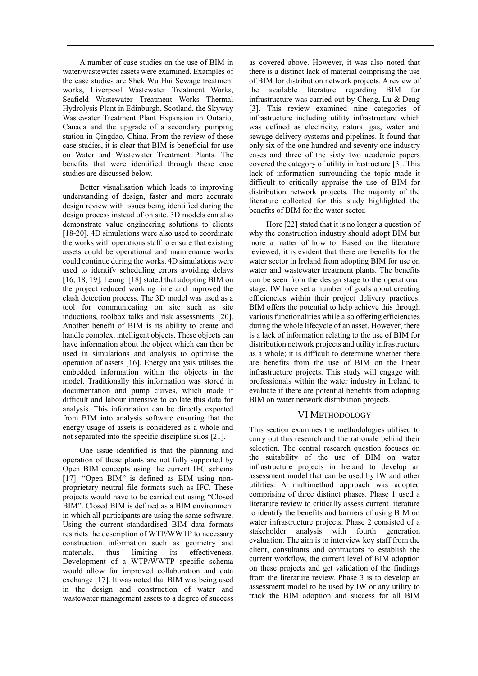A number of case studies on the use of BIM in water/wastewater assets were examined. Examples of the case studies are Shek Wu Hui Sewage treatment works, Liverpool Wastewater Treatment Works, Seafield Wastewater Treatment Works Thermal Hydrolysis Plant in Edinburgh, Scotland, the Skyway Wastewater Treatment Plant Expansion in Ontario, Canada and the upgrade of a secondary pumping station in Qingdao, China. From the review of these case studies, it is clear that BIM is beneficial for use on Water and Wastewater Treatment Plants. The benefits that were identified through these case studies are discussed below.

Better visualisation which leads to improving understanding of design, faster and more accurate design review with issues being identified during the design process instead of on site. 3D models can also demonstrate value engineering solutions to clients [18-20]. 4D simulations were also used to coordinate the works with operations staff to ensure that existing assets could be operational and maintenance works could continue during the works. 4D simulations were used to identify scheduling errors avoiding delays [16, 18, 19]. Leung [18] stated that adopting BIM on the project reduced working time and improved the clash detection process. The 3D model was used as a tool for communicating on site such as site inductions, toolbox talks and risk assessments [20]. Another benefit of BIM is its ability to create and handle complex, intelligent objects. These objects can have information about the object which can then be used in simulations and analysis to optimise the operation of assets [16]. Energy analysis utilises the embedded information within the objects in the model. Traditionally this information was stored in documentation and pump curves, which made it difficult and labour intensive to collate this data for analysis. This information can be directly exported from BIM into analysis software ensuring that the energy usage of assets is considered as a whole and not separated into the specific discipline silos [21].

One issue identified is that the planning and operation of these plants are not fully supported by Open BIM concepts using the current IFC schema [17]. "Open BIM" is defined as BIM using nonproprietary neutral file formats such as IFC. These projects would have to be carried out using "Closed BIM". Closed BIM is defined as a BIM environment in which all participants are using the same software. Using the current standardised BIM data formats restricts the description of WTP/WWTP to necessary construction information such as geometry and materials, thus limiting its effectiveness. Development of a WTP/WWTP specific schema would allow for improved collaboration and data exchange [17]. It was noted that BIM was being used in the design and construction of water and wastewater management assets to a degree of success

as covered above. However, it was also noted that there is a distinct lack of material comprising the use of BIM for distribution network projects. A review of the available literature regarding BIM for infrastructure was carried out by Cheng, Lu & Deng [3]. This review examined nine categories of infrastructure including utility infrastructure which was defined as electricity, natural gas, water and sewage delivery systems and pipelines. It found that only six of the one hundred and seventy one industry cases and three of the sixty two academic papers covered the category of utility infrastructure [3]. This lack of information surrounding the topic made it difficult to critically appraise the use of BIM for distribution network projects. The majority of the literature collected for this study highlighted the benefits of BIM for the water sector.

Hore [22] stated that it is no longer a question of why the construction industry should adopt BIM but more a matter of how to. Based on the literature reviewed, it is evident that there are benefits for the water sector in Ireland from adopting BIM for use on water and wastewater treatment plants. The benefits can be seen from the design stage to the operational stage. IW have set a number of goals about creating efficiencies within their project delivery practices. BIM offers the potential to help achieve this through various functionalities while also offering efficiencies during the whole lifecycle of an asset. However, there is a lack of information relating to the use of BIM for distribution network projects and utility infrastructure as a whole; it is difficult to determine whether there are benefits from the use of BIM on the linear infrastructure projects. This study will engage with professionals within the water industry in Ireland to evaluate if there are potential benefits from adopting BIM on water network distribution projects.

## VI METHODOLOGY

This section examines the methodologies utilised to carry out this research and the rationale behind their selection. The central research question focuses on the suitability of the use of BIM on water infrastructure projects in Ireland to develop an assessment model that can be used by IW and other utilities. A multimethod approach was adopted comprising of three distinct phases. Phase 1 used a literature review to critically assess current literature to identify the benefits and barriers of using BIM on water infrastructure projects. Phase 2 consisted of a stakeholder analysis with fourth generation evaluation. The aim is to interview key staff from the client, consultants and contractors to establish the current workflow, the current level of BIM adoption on these projects and get validation of the findings from the literature review. Phase 3 is to develop an assessment model to be used by IW or any utility to track the BIM adoption and success for all BIM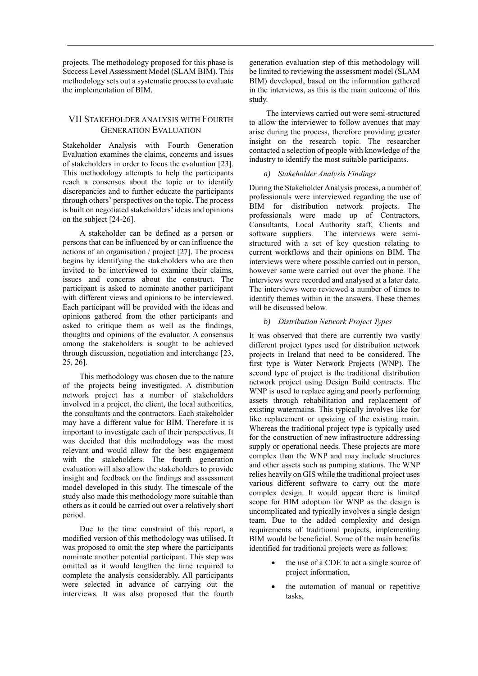projects. The methodology proposed for this phase is Success Level Assessment Model (SLAM BIM). This methodology sets out a systematic process to evaluate the implementation of BIM.

# VII STAKEHOLDER ANALYSIS WITH FOURTH GENERATION EVALUATION

Stakeholder Analysis with Fourth Generation Evaluation examines the claims, concerns and issues of stakeholders in order to focus the evaluation [23]. This methodology attempts to help the participants reach a consensus about the topic or to identify discrepancies and to further educate the participants through others' perspectives on the topic. The process is built on negotiated stakeholders' ideas and opinions on the subject [24-26].

A stakeholder can be defined as a person or persons that can be influenced by or can influence the actions of an organisation / project [27]. The process begins by identifying the stakeholders who are then invited to be interviewed to examine their claims, issues and concerns about the construct. The participant is asked to nominate another participant with different views and opinions to be interviewed. Each participant will be provided with the ideas and opinions gathered from the other participants and asked to critique them as well as the findings, thoughts and opinions of the evaluator. A consensus among the stakeholders is sought to be achieved through discussion, negotiation and interchange [23, 25, 26].

This methodology was chosen due to the nature of the projects being investigated. A distribution network project has a number of stakeholders involved in a project, the client, the local authorities, the consultants and the contractors. Each stakeholder may have a different value for BIM. Therefore it is important to investigate each of their perspectives. It was decided that this methodology was the most relevant and would allow for the best engagement with the stakeholders. The fourth generation evaluation will also allow the stakeholders to provide insight and feedback on the findings and assessment model developed in this study. The timescale of the study also made this methodology more suitable than others as it could be carried out over a relatively short period.

Due to the time constraint of this report, a modified version of this methodology was utilised. It was proposed to omit the step where the participants nominate another potential participant. This step was omitted as it would lengthen the time required to complete the analysis considerably. All participants were selected in advance of carrying out the interviews. It was also proposed that the fourth

generation evaluation step of this methodology will be limited to reviewing the assessment model (SLAM BIM) developed, based on the information gathered in the interviews, as this is the main outcome of this study.

The interviews carried out were semi-structured to allow the interviewer to follow avenues that may arise during the process, therefore providing greater insight on the research topic. The researcher contacted a selection of people with knowledge of the industry to identify the most suitable participants.

## *a) Stakeholder Analysis Findings*

During the Stakeholder Analysis process, a number of professionals were interviewed regarding the use of BIM for distribution network projects. The professionals were made up of Contractors, Consultants, Local Authority staff, Clients and software suppliers. The interviews were semistructured with a set of key question relating to current workflows and their opinions on BIM. The interviews were where possible carried out in person, however some were carried out over the phone. The interviews were recorded and analysed at a later date. The interviews were reviewed a number of times to identify themes within in the answers. These themes will be discussed below.

### *b) Distribution Network Project Types*

It was observed that there are currently two vastly different project types used for distribution network projects in Ireland that need to be considered. The first type is Water Network Projects (WNP). The second type of project is the traditional distribution network project using Design Build contracts. The WNP is used to replace aging and poorly performing assets through rehabilitation and replacement of existing watermains. This typically involves like for like replacement or upsizing of the existing main. Whereas the traditional project type is typically used for the construction of new infrastructure addressing supply or operational needs. These projects are more complex than the WNP and may include structures and other assets such as pumping stations. The WNP relies heavily on GIS while the traditional project uses various different software to carry out the more complex design. It would appear there is limited scope for BIM adoption for WNP as the design is uncomplicated and typically involves a single design team. Due to the added complexity and design requirements of traditional projects, implementing BIM would be beneficial. Some of the main benefits identified for traditional projects were as follows:

- the use of a CDE to act a single source of project information,
- the automation of manual or repetitive tasks,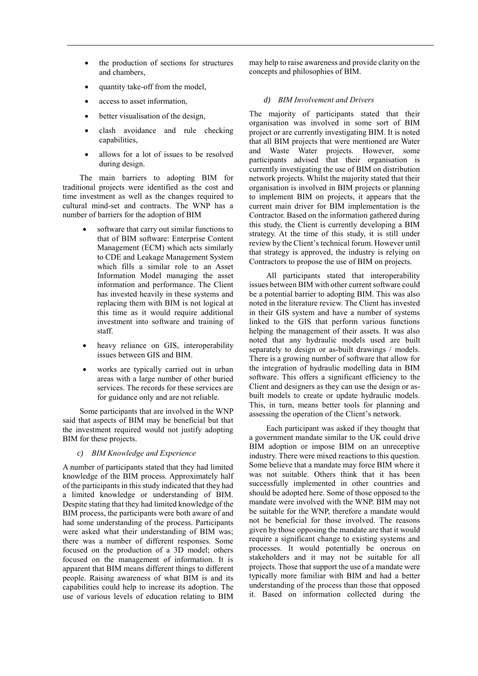- the production of sections for structures and chambers,
- quantity take-off from the model,
- access to asset information,
- better visualisation of the design,
- clash avoidance and rule checking capabilities,
- allows for a lot of issues to be resolved during design.

The main barriers to adopting BIM for traditional projects were identified as the cost and time investment as well as the changes required to cultural mind-set and contracts. The WNP has a number of barriers for the adoption of BIM

- software that carry out similar functions to that of BIM software: Enterprise Content Management (ECM) which acts similarly to CDE and Leakage Management System which fills a similar role to an Asset Information Model managing the asset information and performance. The Client has invested heavily in these systems and replacing them with BIM is not logical at this time as it would require additional investment into software and training of staff.
- heavy reliance on GIS, interoperability issues between GIS and BIM.
- works are typically carried out in urban areas with a large number of other buried services. The records for these services are for guidance only and are not reliable.

Some participants that are involved in the WNP said that aspects of BIM may be beneficial but that the investment required would not justify adopting BIM for these projects.

*c) BIM Knowledge and Experience*

A number of participants stated that they had limited knowledge of the BIM process. Approximately half of the participants in this study indicated that they had a limited knowledge or understanding of BIM. Despite stating that they had limited knowledge of the BIM process, the participants were both aware of and had some understanding of the process. Participants were asked what their understanding of BIM was; there was a number of different responses. Some focused on the production of a 3D model; others focused on the management of information. It is apparent that BIM means different things to different people. Raising awareness of what BIM is and its capabilities could help to increase its adoption. The use of various levels of education relating to BIM

may help to raise awareness and provide clarity on the concepts and philosophies of BIM.

### *d) BIM Involvement and Drivers*

The majority of participants stated that their organisation was involved in some sort of BIM project or are currently investigating BIM. It is noted that all BIM projects that were mentioned are Water and Waste Water projects. However, some participants advised that their organisation is currently investigating the use of BIM on distribution network projects. Whilst the majority stated that their organisation is involved in BIM projects or planning to implement BIM on projects, it appears that the current main driver for BIM implementation is the Contractor. Based on the information gathered during this study, the Client is currently developing a BIM strategy. At the time of this study, it is still under review by the Client's technical forum. However until that strategy is approved, the industry is relying on Contractors to propose the use of BIM on projects.

All participants stated that interoperability issues between BIM with other current software could be a potential barrier to adopting BIM. This was also noted in the literature review. The Client has invested in their GIS system and have a number of systems linked to the GIS that perform various functions helping the management of their assets. It was also noted that any hydraulic models used are built separately to design or as-built drawings / models. There is a growing number of software that allow for the integration of hydraulic modelling data in BIM software. This offers a significant efficiency to the Client and designers as they can use the design or asbuilt models to create or update hydraulic models. This, in turn, means better tools for planning and assessing the operation of the Client's network.

Each participant was asked if they thought that a government mandate similar to the UK could drive BIM adoption or impose BIM on an unreceptive industry. There were mixed reactions to this question. Some believe that a mandate may force BIM where it was not suitable. Others think that it has been successfully implemented in other countries and should be adopted here. Some of those opposed to the mandate were involved with the WNP. BIM may not be suitable for the WNP, therefore a mandate would not be beneficial for those involved. The reasons given by those opposing the mandate are that it would require a significant change to existing systems and processes. It would potentially be onerous on stakeholders and it may not be suitable for all projects. Those that support the use of a mandate were typically more familiar with BIM and had a better understanding of the process than those that opposed it. Based on information collected during the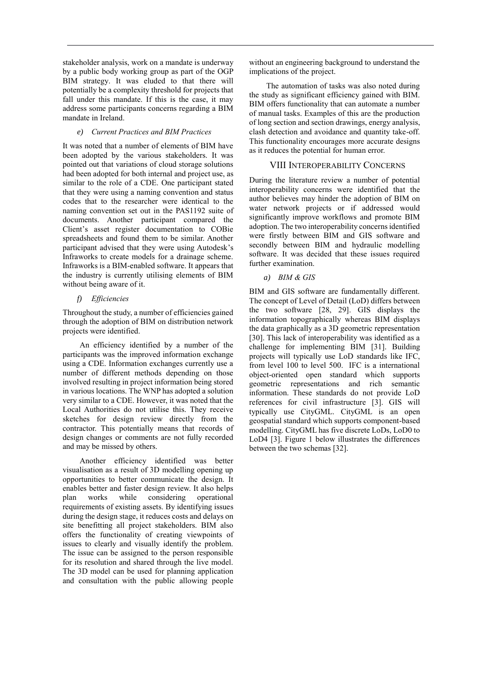stakeholder analysis, work on a mandate is underway by a public body working group as part of the OGP BIM strategy. It was eluded to that there will potentially be a complexity threshold for projects that fall under this mandate. If this is the case, it may address some participants concerns regarding a BIM mandate in Ireland.

## *e) Current Practices and BIM Practices*

It was noted that a number of elements of BIM have been adopted by the various stakeholders. It was pointed out that variations of cloud storage solutions had been adopted for both internal and project use, as similar to the role of a CDE. One participant stated that they were using a naming convention and status codes that to the researcher were identical to the naming convention set out in the PAS1192 suite of documents. Another participant compared the Client's asset register documentation to COBie spreadsheets and found them to be similar. Another participant advised that they were using Autodesk's Infraworks to create models for a drainage scheme. Infraworks is a BIM-enabled software. It appears that the industry is currently utilising elements of BIM without being aware of it.

## *f) Efficiencies*

Throughout the study, a number of efficiencies gained through the adoption of BIM on distribution network projects were identified.

An efficiency identified by a number of the participants was the improved information exchange using a CDE. Information exchanges currently use a number of different methods depending on those involved resulting in project information being stored in various locations. The WNP has adopted a solution very similar to a CDE. However, it was noted that the Local Authorities do not utilise this. They receive sketches for design review directly from the contractor. This potentially means that records of design changes or comments are not fully recorded and may be missed by others.

Another efficiency identified was better visualisation as a result of 3D modelling opening up opportunities to better communicate the design. It enables better and faster design review. It also helps plan works while considering operational requirements of existing assets. By identifying issues during the design stage, it reduces costs and delays on site benefitting all project stakeholders. BIM also offers the functionality of creating viewpoints of issues to clearly and visually identify the problem. The issue can be assigned to the person responsible for its resolution and shared through the live model. The 3D model can be used for planning application and consultation with the public allowing people

without an engineering background to understand the implications of the project.

The automation of tasks was also noted during the study as significant efficiency gained with BIM. BIM offers functionality that can automate a number of manual tasks. Examples of this are the production of long section and section drawings, energy analysis, clash detection and avoidance and quantity take-off. This functionality encourages more accurate designs as it reduces the potential for human error.

## VIII INTEROPERABILITY CONCERNS

During the literature review a number of potential interoperability concerns were identified that the author believes may hinder the adoption of BIM on water network projects or if addressed would significantly improve workflows and promote BIM adoption. The two interoperability concerns identified were firstly between BIM and GIS software and secondly between BIM and hydraulic modelling software. It was decided that these issues required further examination.

## *a) BIM & GIS*

BIM and GIS software are fundamentally different. The concept of Level of Detail (LoD) differs between the two software [28, 29]. GIS displays the information topographically whereas BIM displays the data graphically as a 3D geometric representation [30]. This lack of interoperability was identified as a challenge for implementing BIM [31]. Building projects will typically use LoD standards like IFC, from level 100 to level 500. IFC is a international object-oriented open standard which supports geometric representations and rich semantic information. These standards do not provide LoD references for civil infrastructure [3]. GIS will typically use CityGML. CityGML is an open geospatial standard which supports component-based modelling. CityGML has five discrete LoDs, LoD0 to LoD4 [3]. Figure 1 below illustrates the differences between the two schemas [32].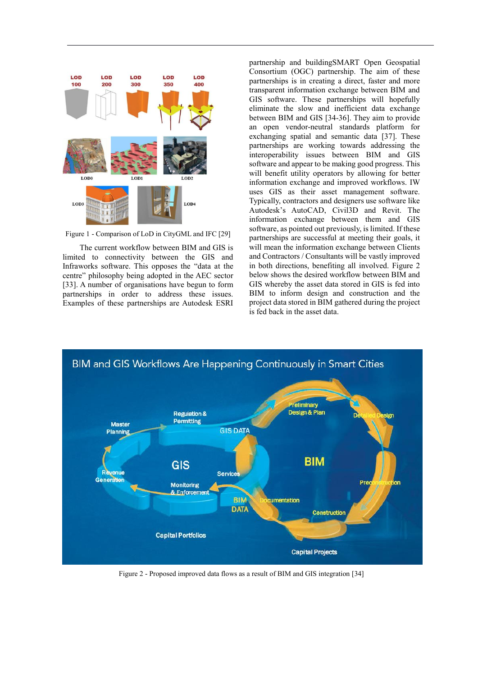

Figure 1 - Comparison of LoD in CityGML and IFC [29]

The current workflow between BIM and GIS is limited to connectivity between the GIS and Infraworks software. This opposes the "data at the centre" philosophy being adopted in the AEC sector [33]. A number of organisations have begun to form partnerships in order to address these issues. Examples of these partnerships are Autodesk ESRI partnership and buildingSMART Open Geospatial Consortium (OGC) partnership. The aim of these partnerships is in creating a direct, faster and more transparent information exchange between BIM and GIS software. These partnerships will hopefully eliminate the slow and inefficient data exchange between BIM and GIS [34-36]. They aim to provide an open vendor-neutral standards platform for exchanging spatial and semantic data [37]. These partnerships are working towards addressing the interoperability issues between BIM and GIS software and appear to be making good progress. This will benefit utility operators by allowing for better information exchange and improved workflows. IW uses GIS as their asset management software. Typically, contractors and designers use software like Autodesk's AutoCAD, Civil3D and Revit. The information exchange between them and GIS software, as pointed out previously, is limited. If these partnerships are successful at meeting their goals, it will mean the information exchange between Clients and Contractors / Consultants will be vastly improved in both directions, benefiting all involved. Figure 2 below shows the desired workflow between BIM and GIS whereby the asset data stored in GIS is fed into BIM to inform design and construction and the project data stored in BIM gathered during the project is fed back in the asset data.



Figure 2 - Proposed improved data flows as a result of BIM and GIS integration [34]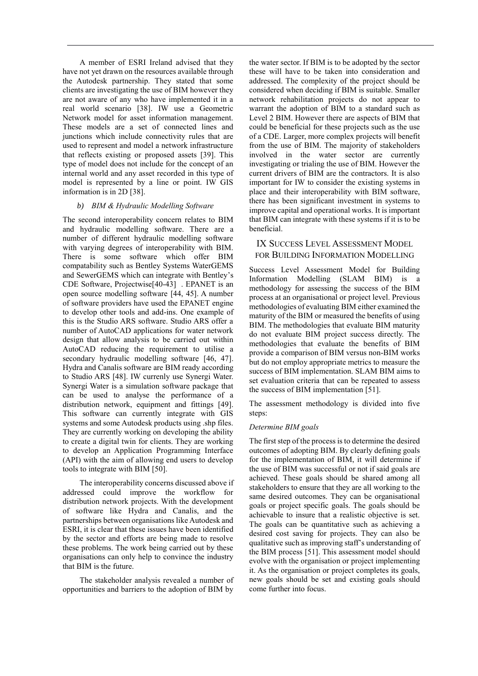A member of ESRI Ireland advised that they have not yet drawn on the resources available through the Autodesk partnership. They stated that some clients are investigating the use of BIM however they are not aware of any who have implemented it in a real world scenario [38]. IW use a Geometric Network model for asset information management. These models are a set of connected lines and junctions which include connectivity rules that are used to represent and model a network infrastructure that reflects existing or proposed assets [39]. This type of model does not include for the concept of an internal world and any asset recorded in this type of model is represented by a line or point. IW GIS information is in 2D [38].

### *b) BIM & Hydraulic Modelling Software*

The second interoperability concern relates to BIM and hydraulic modelling software. There are a number of different hydraulic modelling software with varying degrees of interoperability with BIM. There is some software which offer BIM compatability such as Bentley Systems WaterGEMS and SewerGEMS which can integrate with Bentley's CDE Software, Projectwise[40-43] . EPANET is an open source modelling software [44, 45]. A number of software providers have used the EPANET engine to develop other tools and add-ins. One example of this is the Studio ARS software. Studio ARS offer a number of AutoCAD applications for water network design that allow analysis to be carried out within AutoCAD reducing the requirement to utilise a secondary hydraulic modelling software [46, 47]. Hydra and Canalis software are BIM ready according to Studio ARS [48]. IW currenly use Synergi Water. Synergi Water is a simulation software package that can be used to analyse the performance of a distribution network, equipment and fittings [49]. This software can currently integrate with GIS systems and some Autodesk products using .shp files. They are currently working on developing the ability to create a digital twin for clients. They are working to develop an Application Programming Interface (API) with the aim of allowing end users to develop tools to integrate with BIM [50].

The interoperability concerns discussed above if addressed could improve the workflow for distribution network projects. With the development of software like Hydra and Canalis, and the partnerships between organisations like Autodesk and ESRI, it is clear that these issues have been identified by the sector and efforts are being made to resolve these problems. The work being carried out by these organisations can only help to convince the industry that BIM is the future.

The stakeholder analysis revealed a number of opportunities and barriers to the adoption of BIM by

the water sector. If BIM is to be adopted by the sector these will have to be taken into consideration and addressed. The complexity of the project should be considered when deciding if BIM is suitable. Smaller network rehabilitation projects do not appear to warrant the adoption of BIM to a standard such as Level 2 BIM. However there are aspects of BIM that could be beneficial for these projects such as the use of a CDE. Larger, more complex projects will benefit from the use of BIM. The majority of stakeholders involved in the water sector are currently investigating or trialing the use of BIM. However the current drivers of BIM are the contractors. It is also important for IW to consider the existing systems in place and their interoperability with BIM software, there has been significant investment in systems to improve capital and operational works. It is important that BIM can integrate with these systems if it is to be beneficial.

## IX SUCCESS LEVEL ASSESSMENT MODEL FOR BUILDING INFORMATION MODELLING

Success Level Assessment Model for Building Information Modelling (SLAM BIM) is a methodology for assessing the success of the BIM process at an organisational or project level. Previous methodologies of evaluating BIM either examined the maturity of the BIM or measured the benefits of using BIM. The methodologies that evaluate BIM maturity do not evaluate BIM project success directly. The methodologies that evaluate the benefits of BIM provide a comparison of BIM versus non-BIM works but do not employ appropriate metrics to measure the success of BIM implementation. SLAM BIM aims to set evaluation criteria that can be repeated to assess the success of BIM implementation [51].

The assessment methodology is divided into five steps:

## *Determine BIM goals*

The first step of the process is to determine the desired outcomes of adopting BIM. By clearly defining goals for the implementation of BIM, it will determine if the use of BIM was successful or not if said goals are achieved. These goals should be shared among all stakeholders to ensure that they are all working to the same desired outcomes. They can be organisational goals or project specific goals. The goals should be achievable to insure that a realistic objective is set. The goals can be quantitative such as achieving a desired cost saving for projects. They can also be qualitative such as improving staff's understanding of the BIM process [51]. This assessment model should evolve with the organisation or project implementing it. As the organisation or project completes its goals, new goals should be set and existing goals should come further into focus.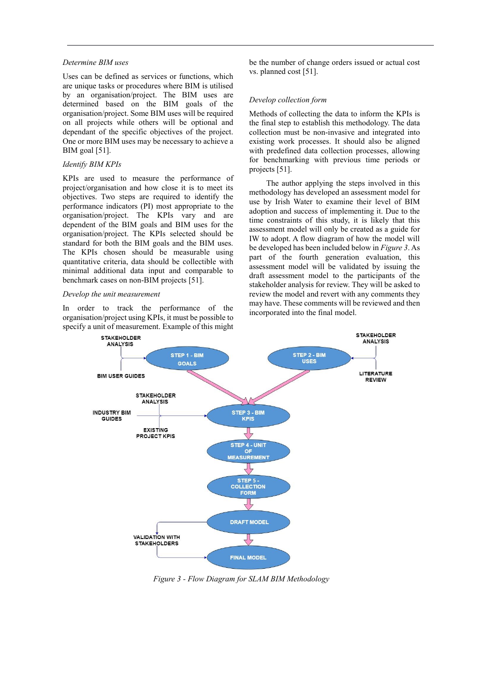#### *Determine BIM uses*

Uses can be defined as services or functions, which are unique tasks or procedures where BIM is utilised by an organisation/project. The BIM uses are determined based on the BIM goals of the organisation/project. Some BIM uses will be required on all projects while others will be optional and dependant of the specific objectives of the project. One or more BIM uses may be necessary to achieve a BIM goal [51].

#### *Identify BIM KPIs*

KPIs are used to measure the performance of project/organisation and how close it is to meet its objectives. Two steps are required to identify the performance indicators (PI) most appropriate to the organisation/project. The KPIs vary and are dependent of the BIM goals and BIM uses for the organisation/project. The KPIs selected should be standard for both the BIM goals and the BIM uses. The KPIs chosen should be measurable using quantitative criteria, data should be collectible with minimal additional data input and comparable to benchmark cases on non-BIM projects [51].

#### *Develop the unit measurement*

In order to track the performance of the organisation/project using KPIs, it must be possible to specify a unit of measurement. Example of this might be the number of change orders issued or actual cost vs. planned cost [51].

#### *Develop collection form*

Methods of collecting the data to inform the KPIs is the final step to establish this methodology. The data collection must be non-invasive and integrated into existing work processes. It should also be aligned with predefined data collection processes, allowing for benchmarking with previous time periods or projects [51].

The author applying the steps involved in this methodology has developed an assessment model for use by Irish Water to examine their level of BIM adoption and success of implementing it. Due to the time constraints of this study, it is likely that this assessment model will only be created as a guide for IW to adopt. A flow diagram of how the model will be developed has been included below in *[Figure 3](#page-10-0)*. As part of the fourth generation evaluation, this assessment model will be validated by issuing the draft assessment model to the participants of the stakeholder analysis for review. They will be asked to review the model and revert with any comments they may have. These comments will be reviewed and then incorporated into the final model.



<span id="page-10-0"></span>*Figure 3 - Flow Diagram for SLAM BIM Methodology*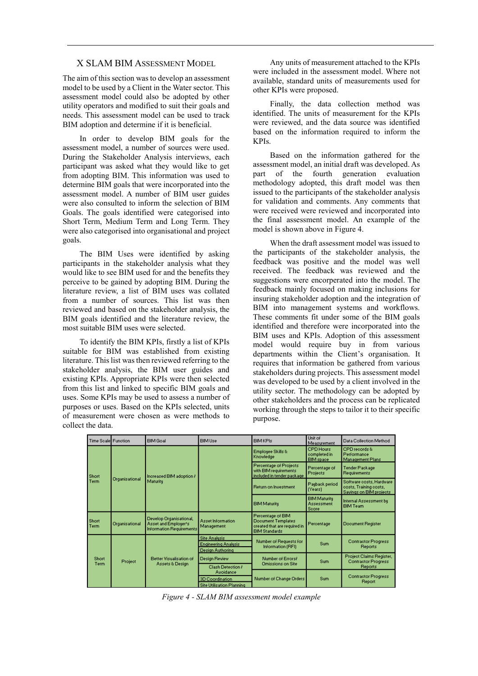### X SLAM BIM ASSESSMENT MODEL

The aim of this section was to develop an assessment model to be used by a Client in the Water sector. This assessment model could also be adopted by other utility operators and modified to suit their goals and needs. This assessment model can be used to track BIM adoption and determine if it is beneficial.

In order to develop BIM goals for the assessment model, a number of sources were used. During the Stakeholder Analysis interviews, each participant was asked what they would like to get from adopting BIM. This information was used to determine BIM goals that were incorporated into the assessment model. A number of BIM user guides were also consulted to inform the selection of BIM Goals. The goals identified were categorised into Short Term, Medium Term and Long Term. They were also categorised into organisational and project goals.

The BIM Uses were identified by asking participants in the stakeholder analysis what they would like to see BIM used for and the benefits they perceive to be gained by adopting BIM. During the literature review, a list of BIM uses was collated from a number of sources. This list was then reviewed and based on the stakeholder analysis, the BIM goals identified and the literature review, the most suitable BIM uses were selected.

To identify the BIM KPIs, firstly a list of KPIs suitable for BIM was established from existing literature. This list was then reviewed referring to the stakeholder analysis, the BIM user guides and existing KPIs. Appropriate KPIs were then selected from this list and linked to specific BIM goals and uses. Some KPIs may be used to assess a number of purposes or uses. Based on the KPIs selected, units of measurement were chosen as were methods to collect the data.

Any units of measurement attached to the KPIs were included in the assessment model. Where not available, standard units of measurements used for other KPIs were proposed.

Finally, the data collection method was identified. The units of measurement for the KPIs were reviewed, and the data source was identified based on the information required to inform the KPIs.

Based on the information gathered for the assessment model, an initial draft was developed. As part of the fourth generation evaluation methodology adopted, this draft model was then issued to the participants of the stakeholder analysis for validation and comments. Any comments that were received were reviewed and incorporated into the final assessment model. An example of the model is shown above in [Figure 4.](#page-11-0)

When the draft assessment model was issued to the participants of the stakeholder analysis, the feedback was positive and the model was well received. The feedback was reviewed and the suggestions were encorperated into the model. The feedback mainly focused on making inclusions for insuring stakeholder adoption and the integration of BIM into management systems and workflows. These comments fit under some of the BIM goals identified and therefore were incorporated into the BIM uses and KPIs. Adoption of this assessment model would require buy in from various departments within the Client's organisation. It requires that information be gathered from various stakeholders during projects. This assessment model was developed to be used by a client involved in the utility sector. The methodology can be adopted by other stakeholders and the process can be replicated working through the steps to tailor it to their specific purpose.

| Time Scale Function  |                | <b>BIM Goal</b>                                                                    | <b>BIM Use</b>                                                                        | <b>BIMKPIs</b>                                                                                  | Unit of<br>Measurement                               | Data Collection Method                                                        |
|----------------------|----------------|------------------------------------------------------------------------------------|---------------------------------------------------------------------------------------|-------------------------------------------------------------------------------------------------|------------------------------------------------------|-------------------------------------------------------------------------------|
| Short<br><b>Term</b> | Organisational | Increased BIM adoption /<br>Maturity                                               |                                                                                       | Employee Skills &<br>Knowledge                                                                  | <b>CPD Hours</b><br>completed in<br><b>BIM</b> space | CPD records &<br>Performance<br>Management Plans                              |
|                      |                |                                                                                    |                                                                                       | Percentage of Projects<br>with BIM requirements<br>included in tender package                   | Percentage of<br>Projects                            | Tender Package<br>Requirements                                                |
|                      |                |                                                                                    |                                                                                       | <b>Return on Investment</b>                                                                     | Payback period<br>(Years)                            | Software costs, Hardware<br>costs, Training costs,<br>Savings on BIM projects |
|                      |                |                                                                                    |                                                                                       | <b>BIM Maturity</b>                                                                             | <b>BIM Maturity</b><br><b>Assessment</b><br>Score    | Internal Assessment by<br><b>BIM Team</b>                                     |
| Short<br>Term        | Organisational | Develop Organisational,<br>Asset and Employer's<br><b>Information Requirements</b> | <b>Asset Information</b><br>Management                                                | Percentage of BIM<br>Document Templates<br>created that are required in<br><b>BIM Standards</b> | Percentage                                           | Document Register                                                             |
| <b>Short</b><br>Term | Project        | <b>Better Visualisation of</b><br>Assets & Design                                  | <b>Site Analysis</b><br><b>Engineering Analysis</b><br>Design Authoring               | Number of Requests for<br>Information (RFI)                                                     | <b>Sum</b>                                           | <b>Contractor Progress</b><br><b>Reports</b>                                  |
|                      |                |                                                                                    | Design Review                                                                         | Number of Errors/<br>Omissions on Site                                                          | <b>Sum</b>                                           | Project Claims Register,<br><b>Contractor Progress</b>                        |
|                      |                |                                                                                    | Clash Detection /<br>Avoidance<br>3D Coordination<br><b>Site Utilisation Planning</b> | Number of Change Orders                                                                         | Sum.                                                 | <b>Reports</b><br><b>Contractor Progress</b><br>Report                        |

<span id="page-11-0"></span>*Figure 4 - SLAM BIM assessment model example*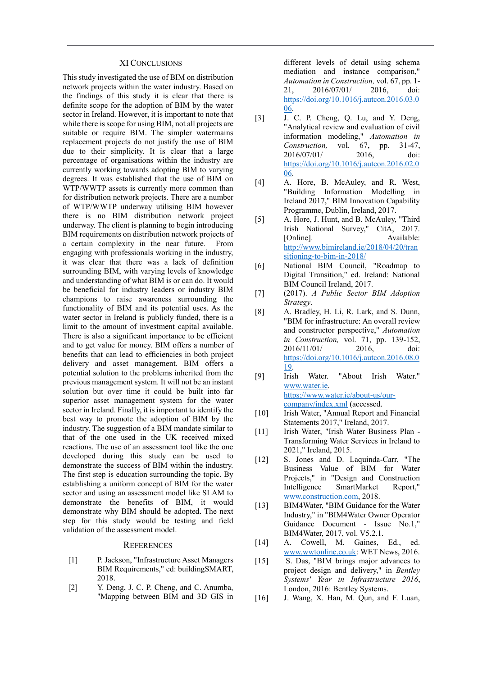#### XI CONCLUSIONS

This study investigated the use of BIM on distribution network projects within the water industry. Based on the findings of this study it is clear that there is definite scope for the adoption of BIM by the water sector in Ireland. However, it is important to note that while there is scope for using BIM, not all projects are suitable or require BIM. The simpler watermains replacement projects do not justify the use of BIM due to their simplicity. It is clear that a large percentage of organisations within the industry are currently working towards adopting BIM to varying degrees. It was established that the use of BIM on WTP/WWTP assets is currently more common than for distribution network projects. There are a number of WTP/WWTP underway utilising BIM however there is no BIM distribution network project underway. The client is planning to begin introducing BIM requirements on distribution network projects of a certain complexity in the near future. From engaging with professionals working in the industry, it was clear that there was a lack of definition surrounding BIM, with varying levels of knowledge and understanding of what BIM is or can do. It would be beneficial for industry leaders or industry BIM champions to raise awareness surrounding the functionality of BIM and its potential uses. As the water sector in Ireland is publicly funded, there is a limit to the amount of investment capital available. There is also a significant importance to be efficient and to get value for money. BIM offers a number of benefits that can lead to efficiencies in both project delivery and asset management. BIM offers a potential solution to the problems inherited from the previous management system. It will not be an instant solution but over time it could be built into far superior asset management system for the water sector in Ireland. Finally, it is important to identify the best way to promote the adoption of BIM by the industry. The suggestion of a BIM mandate similar to that of the one used in the UK received mixed reactions. The use of an assessment tool like the one developed during this study can be used to demonstrate the success of BIM within the industry. The first step is education surrounding the topic. By establishing a uniform concept of BIM for the water sector and using an assessment model like SLAM to demonstrate the benefits of BIM, it would demonstrate why BIM should be adopted. The next step for this study would be testing and field validation of the assessment model.

#### **REFERENCES**

- [1] P. Jackson, "Infrastructure Asset Managers BIM Requirements," ed: buildingSMART, 2018.
- [2] Y. Deng, J. C. P. Cheng, and C. Anumba, "Mapping between BIM and 3D GIS in

different levels of detail using schema mediation and instance comparison," *Automation in Construction,* vol. 67, pp. 1- 21, 2016/07/01/ 2016, doi: [https://doi.org/10.1016/j.autcon.2016.03.0](https://doi.org/10.1016/j.autcon.2016.03.006) [06.](https://doi.org/10.1016/j.autcon.2016.03.006)

- [3] J. C. P. Cheng, Q. Lu, and Y. Deng, "Analytical review and evaluation of civil information modeling," *Automation in Construction,* vol. 67, pp. 31-47, 2016/07/01/ 2016, doi: [https://doi.org/10.1016/j.autcon.2016.02.0](https://doi.org/10.1016/j.autcon.2016.02.006) [06.](https://doi.org/10.1016/j.autcon.2016.02.006)
- [4] A. Hore, B. McAuley, and R. West, "Building Information Modelling in Ireland 2017," BIM Innovation Capability Programme, Dublin, Ireland, 2017.
- [5] A. Hore, J. Hunt, and B. McAuley, "Third Irish National Survey," CitA, 2017. [Online]. Available: [http://www.bimireland.ie/2018/04/20/tran](http://www.bimireland.ie/2018/04/20/transitioning-to-bim-in-2018/) [sitioning-to-bim-in-2018/](http://www.bimireland.ie/2018/04/20/transitioning-to-bim-in-2018/)
- [6] National BIM Council, "Roadmap to Digital Transition," ed. Ireland: National BIM Council Ireland, 2017.
- [7] (2017). *A Public Sector BIM Adoption Strategy*.
- [8] A. Bradley, H. Li, R. Lark, and S. Dunn, "BIM for infrastructure: An overall review and constructor perspective," *Automation in Construction,* vol. 71, pp. 139-152, 2016/11/01/ 2016, doi: [https://doi.org/10.1016/j.autcon.2016.08.0](https://doi.org/10.1016/j.autcon.2016.08.019) [19.](https://doi.org/10.1016/j.autcon.2016.08.019)
- [9] Irish Water. "About Irish Water." [www.water.ie.](file:///C:/Users/Paul/Documents/Capstone%20Project/www.water.ie)  [https://www.water.ie/about-us/our](https://www.water.ie/about-us/our-company/index.xml)[company/index.xml](https://www.water.ie/about-us/our-company/index.xml) (accessed.
- [10] Irish Water, "Annual Report and Financial Statements 2017," Ireland, 2017.
- [11] Irish Water, "Irish Water Business Plan -Transforming Water Services in Ireland to 2021," Ireland, 2015.
- [12] S. Jones and D. Laquinda-Carr, "The Business Value of BIM for Water Projects," in "Design and Construction Intelligence SmartMarket Report," [www.construction.com,](file:///C:/Users/Paul/Documents/Capstone%20Project/www.construction.com) 2018.
- [13] BIM4Water, "BIM Guidance for the Water Industry," in "BIM4Water Owner Operator Guidance Document - Issue No.1," BIM4Water, 2017, vol. V5.2.1.
- [14] A. Cowell, M. Gaines, Ed., ed. [www.wwtonline.co.uk:](file:///C:/Users/Paul/Documents/Capstone%20Project/www.wwtonline.co.uk) WET News, 2016.
- [15] S. Das, "BIM brings major advances to project design and delivery," in *Bentley Systems' Year in Infrastructure 2016*, London, 2016: Bentley Systems.
- [16] J. Wang, X. Han, M. Qun, and F. Luan,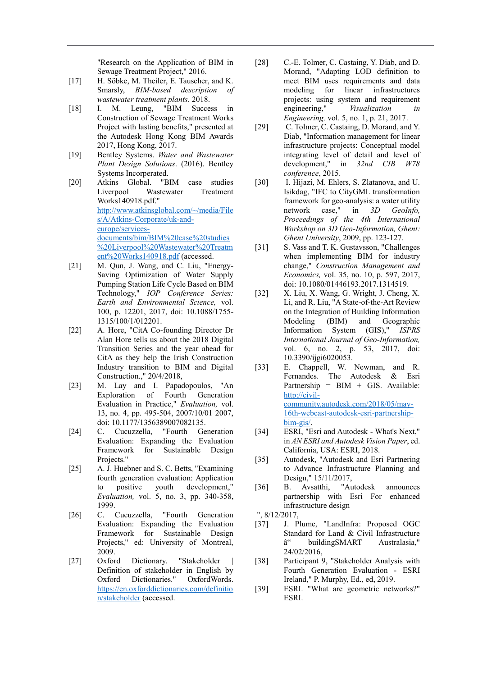"Research on the Application of BIM in Sewage Treatment Project," 2016.

- [17] H. Söbke, M. Theiler, E. Tauscher, and K. Smarsly, *BIM-based description of wastewater treatment plants*. 2018.
- [18] I. M. Leung, "BIM Success in Construction of Sewage Treatment Works Project with lasting benefits," presented at the Autodesk Hong Kong BIM Awards 2017, Hong Kong, 2017.
- [19] Bentley Systems. *Water and Wastewater Plant Design Solutions*. (2016). Bentley Systems Incorperated.
- [20] Atkins Global. "BIM case studies Liverpool Wastewater Treatment Works140918.pdf." [http://www.atkinsglobal.com/~/media/File](http://www.atkinsglobal.com/~/media/Files/A/Atkins-Corporate/uk-and-europe/services-documents/bim/BIM%20case%20studies%20Liverpool%20Wastewater%20Treatment%20Works140918.pdf) [s/A/Atkins-Corporate/uk-and](http://www.atkinsglobal.com/~/media/Files/A/Atkins-Corporate/uk-and-europe/services-documents/bim/BIM%20case%20studies%20Liverpool%20Wastewater%20Treatment%20Works140918.pdf)[europe/services](http://www.atkinsglobal.com/~/media/Files/A/Atkins-Corporate/uk-and-europe/services-documents/bim/BIM%20case%20studies%20Liverpool%20Wastewater%20Treatment%20Works140918.pdf)[documents/bim/BIM%20case%20studies](http://www.atkinsglobal.com/~/media/Files/A/Atkins-Corporate/uk-and-europe/services-documents/bim/BIM%20case%20studies%20Liverpool%20Wastewater%20Treatment%20Works140918.pdf) [%20Liverpool%20Wastewater%20Treatm](http://www.atkinsglobal.com/~/media/Files/A/Atkins-Corporate/uk-and-europe/services-documents/bim/BIM%20case%20studies%20Liverpool%20Wastewater%20Treatment%20Works140918.pdf) [ent%20Works140918.pdf](http://www.atkinsglobal.com/~/media/Files/A/Atkins-Corporate/uk-and-europe/services-documents/bim/BIM%20case%20studies%20Liverpool%20Wastewater%20Treatment%20Works140918.pdf) (accessed.
- [21] M. Qun, J. Wang, and C. Liu, "Energy-Saving Optimization of Water Supply Pumping Station Life Cycle Based on BIM Technology," *IOP Conference Series: Earth and Environmental Science,* vol. 100, p. 12201, 2017, doi: 10.1088/1755- 1315/100/1/012201.
- [22] A. Hore, "CitA Co-founding Director Dr Alan Hore tells us about the 2018 Digital Transition Series and the year ahead for CitA as they help the Irish Construction Industry transition to BIM and Digital Construction.," 20/4/2018,
- [23] M. Lay and I. Papadopoulos, "An Exploration of Fourth Generation Evaluation in Practice," *Evaluation,* vol. 13, no. 4, pp. 495-504, 2007/10/01 2007, doi: 10.1177/1356389007082135.
- [24] C. Cucuzzella, "Fourth Generation Evaluation: Expanding the Evaluation Framework for Sustainable Design Projects."
- [25] A. J. Huebner and S. C. Betts, "Examining fourth generation evaluation: Application to positive youth development," *Evaluation,* vol. 5, no. 3, pp. 340-358, 1999.
- [26] C. Cucuzzella, "Fourth Generation Evaluation: Expanding the Evaluation Framework for Sustainable Design Projects," ed: University of Montreal, 2009.
- [27] Oxford Dictionary. "Stakeholder Definition of stakeholder in English by Oxford Dictionaries." OxfordWords. [https://en.oxforddictionaries.com/definitio](https://en.oxforddictionaries.com/definition/stakeholder) [n/stakeholder](https://en.oxforddictionaries.com/definition/stakeholder) (accessed.
- [28] C.-E. Tolmer, C. Castaing, Y. Diab, and D. Morand, "Adapting LOD definition to meet BIM uses requirements and data modeling for linear infrastructures projects: using system and requirement engineering," *Visualization in Engineering,* vol. 5, no. 1, p. 21, 2017.
- [29] C. Tolmer, C. Castaing, D. Morand, and Y. Diab, "Information management for linear infrastructure projects: Conceptual model integrating level of detail and level of development," in *32nd CIB W78 conference*, 2015.
- [30] I. Hijazi, M. Ehlers, S. Zlatanova, and U. Isikdag, "IFC to CityGML transformation framework for geo-analysis: a water utility network case," in *3D GeoInfo, Proceedings of the 4th International Workshop on 3D Geo-Information, Ghent: Ghent University*, 2009, pp. 123-127.
- [31] S. Vass and T. K. Gustavsson, "Challenges when implementing BIM for industry change," *Construction Management and Economics,* vol. 35, no. 10, p. 597, 2017, doi: 10.1080/01446193.2017.1314519.
- [32] X. Liu, X. Wang, G. Wright, J. Cheng, X. Li, and R. Liu, "A State-of-the-Art Review on the Integration of Building Information Modeling (BIM) and Geographic Information System (GIS)," *ISPRS International Journal of Geo-Information,*  vol. 6, no. 2, p. 53, 2017, doi: 10.3390/ijgi6020053.
- [33] E. Chappell, W. Newman, and R. Fernandes. The Autodesk & Esri Partnership =  $BIM + GIS$ . Available: [http://civil](http://civil-community.autodesk.com/2018/05/may-16th-webcast-autodesk-esri-partnership-bim-gis/)[community.autodesk.com/2018/05/may-](http://civil-community.autodesk.com/2018/05/may-16th-webcast-autodesk-esri-partnership-bim-gis/)[16th-webcast-autodesk-esri-partnership](http://civil-community.autodesk.com/2018/05/may-16th-webcast-autodesk-esri-partnership-bim-gis/)[bim-gis/.](http://civil-community.autodesk.com/2018/05/may-16th-webcast-autodesk-esri-partnership-bim-gis/)
- [34] ESRI, "Esri and Autodesk What's Next," in *AN ESRI and Autodesk Vision Paper*, ed. California, USA: ESRI, 2018.
- [35] Autodesk, "Autodesk and Esri Partnering to Advance Infrastructure Planning and Design," 15/11/2017,
- [36] B. Avsatthi, "Autodesk announces partnership with Esri For enhanced infrastructure design
- ", 8/12/2017,
- [37] J. Plume, "LandInfra: Proposed OGC Standard for Land & Civil Infrastructure â" buildingSMART Australasia," 24/02/2016,
- [38] Participant 9, "Stakeholder Analysis with Fourth Generation Evaluation - ESRI Ireland," P. Murphy, Ed., ed, 2019.
- [39] ESRI. "What are geometric networks?" ESRI.